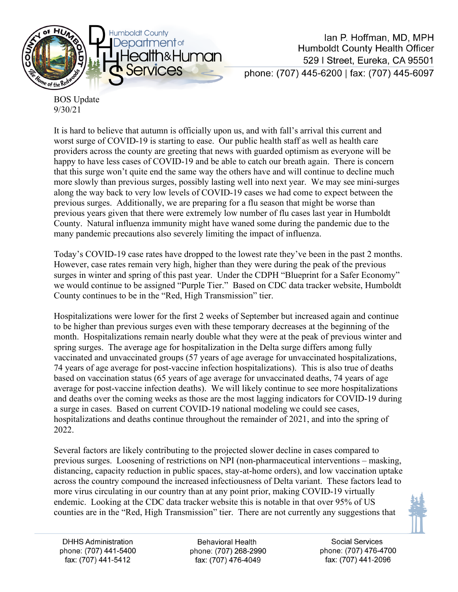

Ian P. Hoffman, MD. MPH **Humboldt County Health Officer** 529 | Street, Eureka, CA 95501 phone: (707) 445-6200 | fax: (707) 445-6097

BOS Update 9/30/21

It is hard to believe that autumn is officially upon us, and with fall's arrival this current and worst surge of COVID-19 is starting to ease. Our public health staff as well as health care providers across the county are greeting that news with guarded optimism as everyone will be happy to have less cases of COVID-19 and be able to catch our breath again. There is concern that this surge won't quite end the same way the others have and will continue to decline much more slowly than previous surges, possibly lasting well into next year. We may see mini-surges along the way back to very low levels of COVID-19 cases we had come to expect between the previous surges. Additionally, we are preparing for a flu season that might be worse than previous years given that there were extremely low number of flu cases last year in Humboldt County. Natural influenza immunity might have waned some during the pandemic due to the many pandemic precautions also severely limiting the impact of influenza.

Today's COVID-19 case rates have dropped to the lowest rate they've been in the past 2 months. However, case rates remain very high, higher than they were during the peak of the previous surges in winter and spring of this past year. Under the CDPH "Blueprint for a Safer Economy" we would continue to be assigned "Purple Tier." Based on CDC data tracker website, Humboldt County continues to be in the "Red, High Transmission" tier.

Hospitalizations were lower for the first 2 weeks of September but increased again and continue to be higher than previous surges even with these temporary decreases at the beginning of the month. Hospitalizations remain nearly double what they were at the peak of previous winter and spring surges. The average age for hospitalization in the Delta surge differs among fully vaccinated and unvaccinated groups (57 years of age average for unvaccinated hospitalizations, 74 years of age average for post-vaccine infection hospitalizations). This is also true of deaths based on vaccination status (65 years of age average for unvaccinated deaths, 74 years of age average for post-vaccine infection deaths). We will likely continue to see more hospitalizations and deaths over the coming weeks as those are the most lagging indicators for COVID-19 during a surge in cases. Based on current COVID-19 national modeling we could see cases, hospitalizations and deaths continue throughout the remainder of 2021, and into the spring of 2022.

Several factors are likely contributing to the projected slower decline in cases compared to previous surges. Loosening of restrictions on NPI (non-pharmaceutical interventions – masking, distancing, capacity reduction in public spaces, stay-at-home orders), and low vaccination uptake across the country compound the increased infectiousness of Delta variant. These factors lead to more virus circulating in our country than at any point prior, making COVID-19 virtually endemic. Looking at the CDC data tracker website this is notable in that over 95% of US counties are in the "Red, High Transmission" tier. There are not currently any suggestions that



**Behavioral Health** phone: (707) 268-2990 fax: (707) 476-4049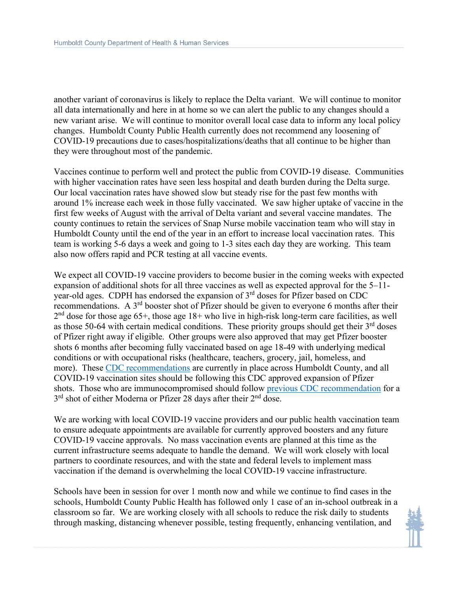another variant of coronavirus is likely to replace the Delta variant. We will continue to monitor all data internationally and here in at home so we can alert the public to any changes should a new variant arise. We will continue to monitor overall local case data to inform any local policy changes. Humboldt County Public Health currently does not recommend any loosening of COVID-19 precautions due to cases/hospitalizations/deaths that all continue to be higher than they were throughout most of the pandemic.

Vaccines continue to perform well and protect the public from COVID-19 disease. Communities with higher vaccination rates have seen less hospital and death burden during the Delta surge. Our local vaccination rates have showed slow but steady rise for the past few months with around 1% increase each week in those fully vaccinated. We saw higher uptake of vaccine in the first few weeks of August with the arrival of Delta variant and several vaccine mandates. The county continues to retain the services of Snap Nurse mobile vaccination team who will stay in Humboldt County until the end of the year in an effort to increase local vaccination rates. This team is working 5-6 days a week and going to 1-3 sites each day they are working. This team also now offers rapid and PCR testing at all vaccine events.

We expect all COVID-19 vaccine providers to become busier in the coming weeks with expected expansion of additional shots for all three vaccines as well as expected approval for the 5–11 year-old ages. CDPH has endorsed the expansion of 3rd doses for Pfizer based on CDC recommendations. A 3rd booster shot of Pfizer should be given to everyone 6 months after their  $2<sup>nd</sup>$  dose for those age 65+, those age 18+ who live in high-risk long-term care facilities, as well as those 50-64 with certain medical conditions. These priority groups should get their  $3<sup>rd</sup>$  doses of Pfizer right away if eligible. Other groups were also approved that may get Pfizer booster shots 6 months after becoming fully vaccinated based on age 18-49 with underlying medical conditions or with occupational risks (healthcare, teachers, grocery, jail, homeless, and more). These [CDC recommendations](https://www.cdc.gov/coronavirus/2019-ncov/vaccines/booster-shot.html#HighRisk) are currently in place across Humboldt County, and all COVID-19 vaccination sites should be following this CDC approved expansion of Pfizer shots. Those who are immunocompromised should follow [previous CDC recommendation](https://www.cdc.gov/coronavirus/2019-ncov/vaccines/recommendations/immuno.html) for a 3<sup>rd</sup> shot of either Moderna or Pfizer 28 days after their 2<sup>nd</sup> dose.

We are working with local COVID-19 vaccine providers and our public health vaccination team to ensure adequate appointments are available for currently approved boosters and any future COVID-19 vaccine approvals. No mass vaccination events are planned at this time as the current infrastructure seems adequate to handle the demand. We will work closely with local partners to coordinate resources, and with the state and federal levels to implement mass vaccination if the demand is overwhelming the local COVID-19 vaccine infrastructure.

Schools have been in session for over 1 month now and while we continue to find cases in the schools, Humboldt County Public Health has followed only 1 case of an in-school outbreak in a classroom so far. We are working closely with all schools to reduce the risk daily to students through masking, distancing whenever possible, testing frequently, enhancing ventilation, and